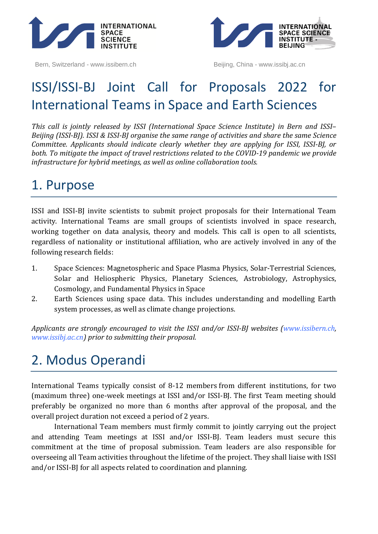

Bern, Switzerland - www.issibern.ch Beijing, China - www.issibj.ac.cn



# ISSI/ISSI-BJ Joint Call for Proposals 2022 for International Teams in Space and Earth Sciences

*This call is jointly released by ISSI (International Space Science Institute) in Bern and ISSI– Beijing (ISSI-BJ). ISSI & ISSI-BJ organise the same range of activities and share the same Science Committee. Applicants should indicate clearly whether they are applying for ISSI, ISSI-BJ, or both. To mitigate the impact of travel restrictions related to the COVID-19 pandemic we provide infrastructure for hybrid meetings, as well as online collaboration tools.*

### 1. Purpose

ISSI and ISSI-BJ invite scientists to submit project proposals for their International Team activity. International Teams are small groups of scientists involved in space research, working together on data analysis, theory and models. This call is open to all scientists, regardless of nationality or institutional affiliation, who are actively involved in any of the following research fields:

- 1. Space Sciences: Magnetospheric and Space Plasma Physics, Solar-Terrestrial Sciences, Solar and Heliospheric Physics, Planetary Sciences, Astrobiology, Astrophysics, Cosmology, and Fundamental Physics in Space
- 2. Earth Sciences using space data. This includes understanding and modelling Earth system processes, as well as climate change projections.

*Applicants are strongly encouraged to visit the ISSI and/or ISSI-BJ websites [\(www.issibern.ch,](http://www.issibern.ch/) [www.issibj.ac.cn\)](http://www.issibj.ac.cn/) prior to submitting their proposal.*

# 2. Modus Operandi

International Teams typically consist of 8-12 members from different institutions, for two (maximum three) one-week meetings at ISSI and/or ISSI-BJ. The first Team meeting should preferably be organized no more than 6 months after approval of the proposal, and the overall project duration not exceed a period of 2 years.

International Team members must firmly commit to jointly carrying out the project and attending Team meetings at ISSI and/or ISSI-BJ. Team leaders must secure this commitment at the time of proposal submission. Team leaders are also responsible for overseeing all Team activities throughout the lifetime of the project. They shall liaise with ISSI and/or ISSI-BJ for all aspects related to coordination and planning.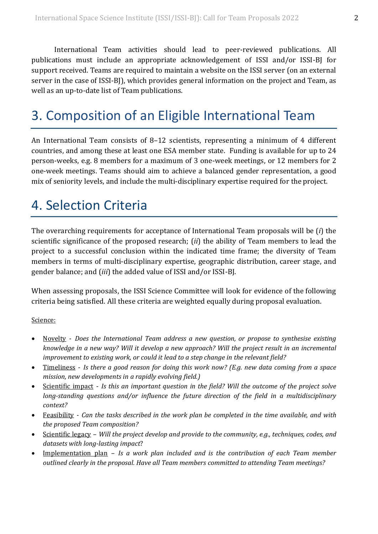International Team activities should lead to peer-reviewed publications. All publications must include an appropriate acknowledgement of ISSI and/or ISSI-BJ for support received. Teams are required to maintain a website on the ISSI server (on an external server in the case of ISSI-BJ, which provides general information on the project and Team, as well as an up-to-date list of Team publications.

# 3. Composition of an Eligible International Team

An International Team consists of 8–12 scientists, representing a minimum of 4 different countries, and among these at least one ESA member state. Funding is available for up to 24 person-weeks, e.g. 8 members for a maximum of 3 one-week meetings, or 12 members for 2 one-week meetings. Teams should aim to achieve a balanced gender representation, a good mix of seniority levels, and include the multi-disciplinary expertise required for the project.

## 4. Selection Criteria

The overarching requirements for acceptance of International Team proposals will be (*i*) the scientific significance of the proposed research; (*ii*) the ability of Team members to lead the project to a successful conclusion within the indicated time frame; the diversity of Team members in terms of multi-disciplinary expertise, geographic distribution, career stage, and gender balance; and (*iii*) the added value of ISSI and/or ISSI-BJ.

When assessing proposals, the ISSI Science Committee will look for evidence of the following criteria being satisfied. All these criteria are weighted equally during proposal evaluation.

### Science:

- Novelty *Does the International Team address a new question, or propose to synthesise existing knowledge in a new way? Will it develop a new approach? Will the project result in an incremental improvement to existing work, or could it lead to a step change in the relevant field?*
- Timeliness *Is there a good reason for doing this work now? (E.g. new data coming from a space mission, new developments in a rapidly evolving field.)*
- Scientific impact *Is this an important question in the field? Will the outcome of the project solve long-standing questions and/or influence the future direction of the field in a multidisciplinary context?*
- Feasibility *Can the tasks described in the work plan be completed in the time available, and with the proposed Team composition?*
- Scientific legacy *Will the project develop and provide to the community, e.g., techniques, codes, and datasets with long-lasting impact*?
- Implementation plan *Is a work plan included and is the contribution of each Team member outlined clearly in the proposal. Have all Team members committed to attending Team meetings?*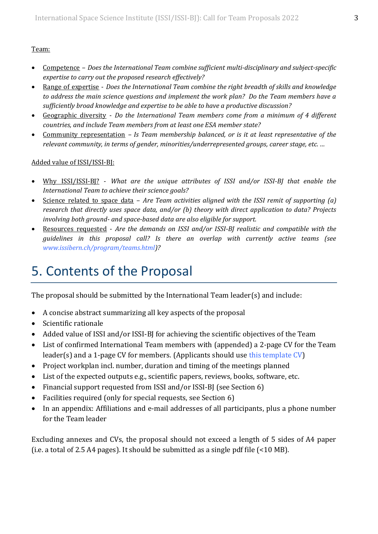### Team:

- Competence *Does the International Team combine sufficient multi-disciplinary and subject-specific expertise to carry out the proposed research effectively?*
- Range of expertise *Does the International Team combine the right breadth of skills and knowledge to address the main science questions and implement the work plan? Do the Team members have a sufficiently broad knowledge and expertise to be able to have a productive discussion?*
- Geographic diversity *Do the International Team members come from a minimum of 4 different countries, and include Team members from at least one ESA member state?*
- Community representation *– Is Team membership balanced, or is it at least representative of the relevant community, in terms of gender, minorities/underrepresented groups, career stage, etc. …*

### Added value of ISSI/ISSI-BJ:

- Why ISSI/ISSI-BJ? *What are the unique attributes of ISSI and/or ISSI-BJ that enable the International Team to achieve their science goals?*
- Science related to space data *Are Team activities aligned with the ISSI remit of supporting (a) research that directly uses space data, and/or (b) theory with direct application to data? Projects involving both ground- and space-based data are also eligible for support.*
- Resources requested *Are the demands on ISSI and/or ISSI-BJ realistic and compatible with the guidelines in this proposal call? Is there an overlap with currently active teams (see [www.issibern.ch/program/teams.html\)](http://www.issibern.ch/program/teams.html)?*

## 5. Contents of the Proposal

The proposal should be submitted by the International Team leader(s) and include:

- A concise abstract summarizing all key aspects of the proposal
- Scientific rationale
- Added value of ISSI and/or ISSI-BJ for achieving the scientific objectives of the Team
- List of confirmed International Team members with (appended) a 2-page CV for the Team leader(s) and a 1-page CV for members. (Applicants should use [this template CV\)](https://www.issibern.ch/call-for-team-proposals-2022/ITmember_CV_template.docx)
- Project workplan incl. number, duration and timing of the meetings planned
- List of the expected outputs e.g., scientific papers, reviews, books, software, etc.
- Financial support requested from ISSI and/or ISSI-BJ (see Section 6)
- Facilities required (only for special requests, see Section 6)
- In an appendix: Affiliations and e-mail addresses of all participants, plus a phone number for the Team leader

Excluding annexes and CVs, the proposal should not exceed a length of 5 sides of A4 paper (i.e. a total of 2.5 A4 pages). It should be submitted as a single pdf file (<10 MB).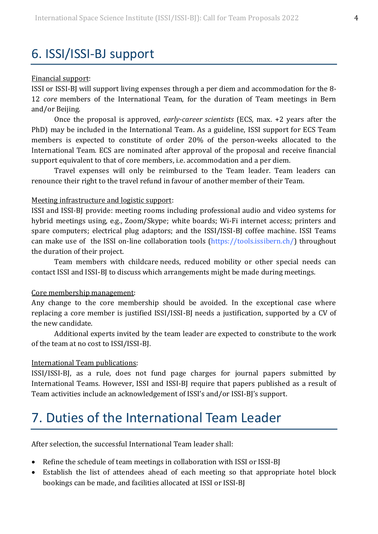### 6. ISSI/ISSI-BJ support

#### Financial support:

ISSI or ISSI-BJ will support living expenses through a per diem and accommodation for the 8- 12 *core* members of the International Team, for the duration of Team meetings in Bern and/or Beijing.

Once the proposal is approved, *early-career scientists* (ECS, max. +2 years after the PhD) may be included in the International Team. As a guideline, ISSI support for ECS Team members is expected to constitute of order 20% of the person-weeks allocated to the International Team. ECS are nominated after approval of the proposal and receive financial support equivalent to that of core members, i.e. accommodation and a per diem.

Travel expenses will only be reimbursed to the Team leader. Team leaders can renounce their right to the travel refund in favour of another member of their Team.

#### Meeting infrastructure and logistic support:

ISSI and ISSI-BJ provide: meeting rooms including professional audio and video systems for hybrid meetings using, e.g., Zoom/Skype; white boards; Wi-Fi internet access; printers and spare computers; electrical plug adaptors; and the ISSI/ISSI-BJ coffee machine. ISSI Teams can make use of the ISSI on-line collaboration tools [\(https://tools.issibern.ch/\)](https://tools.issibern.ch/) throughout the duration of their project.

Team members with childcare needs, reduced mobility or other special needs can contact ISSI and ISSI-BJ to discuss which arrangements might be made during meetings.

#### Core membership management:

Any change to the core membership should be avoided. In the exceptional case where replacing a core member is justified ISSI/ISSI-BJ needs a justification, supported by a CV of the new candidate.

Additional experts invited by the team leader are expected to constribute to the work of the team at no cost to ISSI/ISSI-BJ.

#### International Team publications:

ISSI/ISSI-BJ, as a rule, does not fund page charges for journal papers submitted by International Teams. However, ISSI and ISSI-BJ require that papers published as a result of Team activities include an acknowledgement of ISSI's and/or ISSI-BJ's support.

### 7. Duties of the International Team Leader

After selection, the successful International Team leader shall:

- Refine the schedule of team meetings in collaboration with ISSI or ISSI-BJ
- Establish the list of attendees ahead of each meeting so that appropriate hotel block bookings can be made, and facilities allocated at ISSI or ISSI-BJ